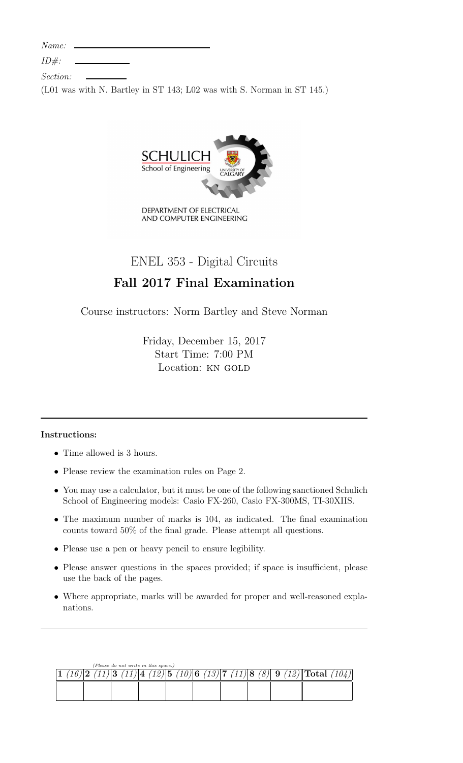| Name: |  |
|-------|--|
|-------|--|

 $ID#$ :

| Section: |  |
|----------|--|
|          |  |

(L01 was with N. Bartley in ST 143; L02 was with S. Norman in ST 145.)



# ENEL 353 - Digital Circuits

# Fall 2017 Final Examination

Course instructors: Norm Bartley and Steve Norman

Friday, December 15, 2017 Start Time: 7:00 PM Location: KN GOLD

### Instructions:

- Time allowed is 3 hours.
- Please review the examination rules on Page 2.
- You may use a calculator, but it must be one of the following sanctioned Schulich School of Engineering models: Casio FX-260, Casio FX-300MS, TI-30XIIS.
- The maximum number of marks is 104, as indicated. The final examination counts toward 50% of the final grade. Please attempt all questions.
- Please use a pen or heavy pencil to ensure legibility.
- Please answer questions in the spaces provided; if space is insufficient, please use the back of the pages.
- Where appropriate, marks will be awarded for proper and well-reasoned explanations.

| (Please do not write in this space.) |  |  |  |  |  |  |  |  |  |  |  |  |  |                                                                             |  |
|--------------------------------------|--|--|--|--|--|--|--|--|--|--|--|--|--|-----------------------------------------------------------------------------|--|
|                                      |  |  |  |  |  |  |  |  |  |  |  |  |  | $(11) 3 (11) 4 (12) 5 (10) 6 (13) 7 (11) 8 (8) 9 (12)  \text{Total} (104) $ |  |
|                                      |  |  |  |  |  |  |  |  |  |  |  |  |  |                                                                             |  |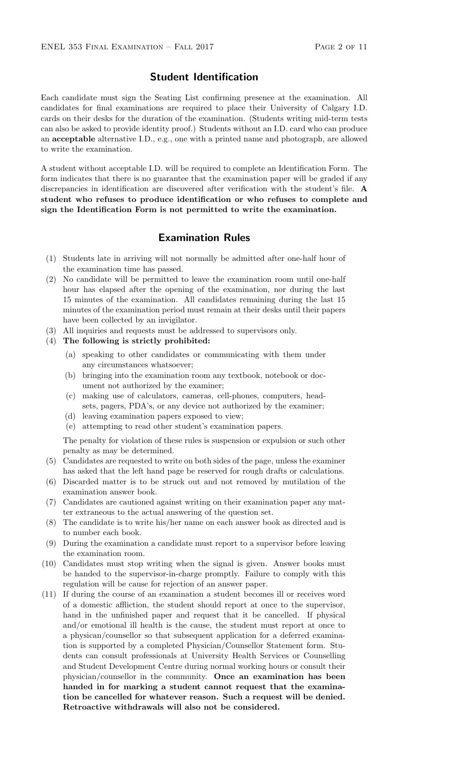### Student Identification

Each candidate must sign the Seating List confirming presence at the examination. All candidates for final examinations are required to place their University of Calgary I.D. cards on their desks for the duration of the examination. (Students writing mid-term tests can also be asked to provide identity proof.) Students without an I.D. card who can produce an acceptable alternative I.D., e.g., one with a printed name and photograph, are allowed to write the examination.

A student without acceptable I.D. will be required to complete an Identification Form. The form indicates that there is no guarantee that the examination paper will be graded if any discrepancies in identification are discovered after verification with the student's file. A student who refuses to produce identification or who refuses to complete and sign the Identification Form is not permitted to write the examination.

### Examination Rules

- (1) Students late in arriving will not normally be admitted after one-half hour of the examination time has passed.
- (2) No candidate will be permitted to leave the examination room until one-half hour has elapsed after the opening of the examination, nor during the last 15 minutes of the examination. All candidates remaining during the last 15 minutes of the examination period must remain at their desks until their papers have been collected by an invigilator.
- (3) All inquiries and requests must be addressed to supervisors only.
- (4) The following is strictly prohibited:
	- (a) speaking to other candidates or communicating with them under any circumstances whatsoever;
	- (b) bringing into the examination room any textbook, notebook or document not authorized by the examiner;
	- (c) making use of calculators, cameras, cell-phones, computers, headsets, pagers, PDA's, or any device not authorized by the examiner;
	- (d) leaving examination papers exposed to view;
	- (e) attempting to read other student's examination papers.

The penalty for violation of these rules is suspension or expulsion or such other penalty as may be determined.

- (5) Candidates are requested to write on both sides of the page, unless the examiner has asked that the left hand page be reserved for rough drafts or calculations.
- (6) Discarded matter is to be struck out and not removed by mutilation of the examination answer book.
- (7) Candidates are cautioned against writing on their examination paper any matter extraneous to the actual answering of the question set.
- (8) The candidate is to write his/her name on each answer book as directed and is to number each book.
- (9) During the examination a candidate must report to a supervisor before leaving the examination room.
- (10) Candidates must stop writing when the signal is given. Answer books must be handed to the supervisor-in-charge promptly. Failure to comply with this regulation will be cause for rejection of an answer paper.
- (11) If during the course of an examination a student becomes ill or receives word of a domestic affliction, the student should report at once to the supervisor, hand in the unfinished paper and request that it be cancelled. If physical and/or emotional ill health is the cause, the student must report at once to a physican/counsellor so that subsequent application for a deferred examination is supported by a completed Physician/Counsellor Statement form. Students can consult professionals at University Health Services or Counselling and Student Development Centre during normal working hours or consult their physician/counsellor in the community. Once an examination has been handed in for marking a student cannot request that the examination be cancelled for whatever reason. Such a request will be denied. Retroactive withdrawals will also not be considered.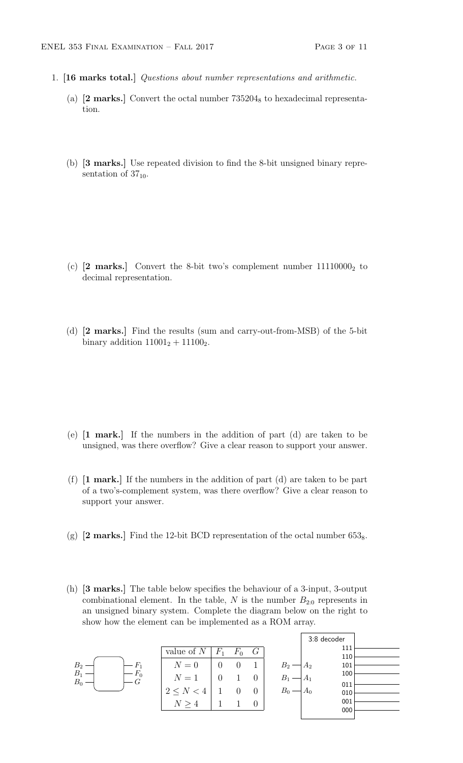- 1. [16 marks total.] Questions about number representations and arithmetic.
	- (a)  $[2 \text{ marks.}]$  Convert the octal number  $735204_8$  to hexadecimal representation.
	- (b) [3 marks.] Use repeated division to find the 8-bit unsigned binary representation of  $37_{10}$ .

- (c)  $[2 \text{ marks.}]$  Convert the 8-bit two's complement number  $11110000_2$  to decimal representation.
- (d) [2 marks.] Find the results (sum and carry-out-from-MSB) of the 5-bit binary addition  $11001_2 + 11100_2$ .

- (e) [1 mark.] If the numbers in the addition of part (d) are taken to be unsigned, was there overflow? Give a clear reason to support your answer.
- (f) [1 mark.] If the numbers in the addition of part (d) are taken to be part of a two's-complement system, was there overflow? Give a clear reason to support your answer.
- (g)  $[2 \text{ marks.}]$  Find the 12-bit BCD representation of the octal number  $653_8$ .
- (h) [3 marks.] The table below specifies the behaviour of a 3-input, 3-output combinational element. In the table,  $N$  is the number  $B_{2:0}$  represents in an unsigned binary system. Complete the diagram below on the right to show how the element can be implemented as a ROM array.

 $B<sub>2</sub>$  $B_1$  $B_0$ 

|            |                   |          |       |          |         | 3:8 decoder  |  |
|------------|-------------------|----------|-------|----------|---------|--------------|--|
|            | value of $N$      | $F_1$    | $F_0$ | G        |         | 111          |  |
|            |                   |          |       |          |         | 110          |  |
| $F_1$      | $N=0$             | $\Omega$ |       |          | $B_2$ - | 101<br>$A_2$ |  |
| $F_0$<br>G | $N=1$             | $\Omega$ |       | $\theta$ | $B_1$   | 100<br>$A_1$ |  |
|            |                   |          |       |          |         | 011          |  |
|            | $2 \leq N \leq 4$ |          |       | $\theta$ | $B_0$   | $A_0$<br>010 |  |
|            | N > 4             |          |       | $\theta$ |         | 001          |  |
|            |                   |          |       |          |         | 000          |  |
|            |                   |          |       |          |         |              |  |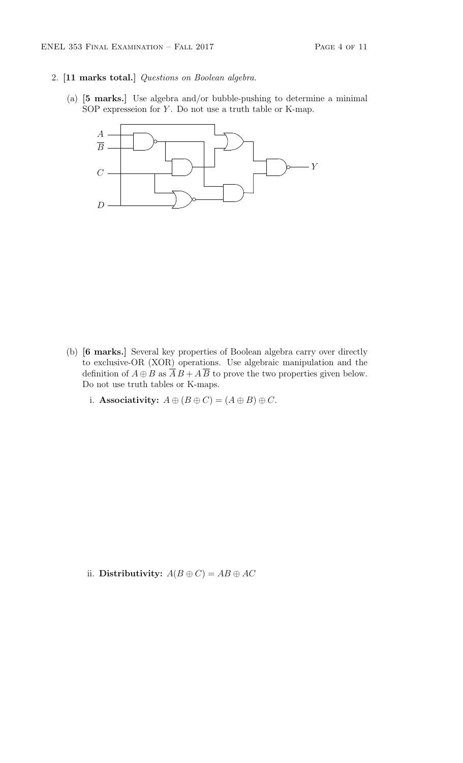- 2. [11 marks total.] Questions on Boolean algebra.
	- (a) [5 marks.] Use algebra and/or bubble-pushing to determine a minimal SOP expresseion for  $Y$ . Do not use a truth table or K-map.



- (b) [6 marks.] Several key properties of Boolean algebra carry over directly to exclusive-OR (XOR) operations. Use algebraic manipulation and the definition of  $A \oplus B$  as  $\overline{A} B + A \overline{B}$  to prove the two properties given below. Do not use truth tables or K-maps.
	- i. Associativity:  $A \oplus (B \oplus C) = (A \oplus B) \oplus C$ .

ii. Distributivity:  $A(B \oplus C) = AB \oplus AC$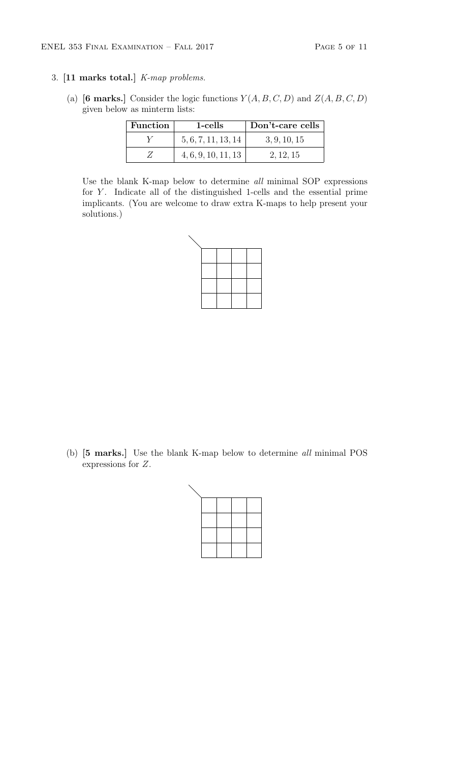#### 3. [11 marks total.] K-map problems.

(a) [6 marks.] Consider the logic functions  $Y(A, B, C, D)$  and  $Z(A, B, C, D)$ given below as minterm lists:

| <b>Function</b> | 1-cells             | Don't-care cells |
|-----------------|---------------------|------------------|
|                 | 5, 6, 7, 11, 13, 14 | 3, 9, 10, 15     |
|                 | 4, 6, 9, 10, 11, 13 | 2.12.15          |

Use the blank K-map below to determine all minimal SOP expressions for  $Y$ . Indicate all of the distinguished 1-cells and the essential prime implicants. (You are welcome to draw extra K-maps to help present your solutions.)

(b) [5 marks.] Use the blank K-map below to determine all minimal POS expressions for Z.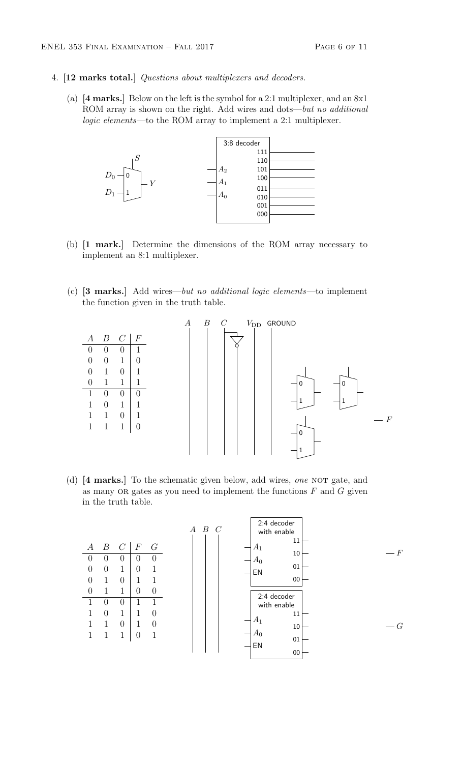- 4. [12 marks total.] Questions about multiplexers and decoders.
	- (a) [4 marks.] Below on the left is the symbol for a 2:1 multiplexer, and an 8x1 ROM array is shown on the right. Add wires and dots—but no additional logic elements—to the ROM array to implement a 2:1 multiplexer.



- (b) [1 mark.] Determine the dimensions of the ROM array necessary to implement an 8:1 multiplexer.
- (c) [3 marks.] Add wires—but no additional logic elements—to implement the function given in the truth table.



(d)  $[4 \text{ marks.}]$  To the schematic given below, add wires, one NOT gate, and as many OR gates as you need to implement the functions  $F$  and  $G$  given in the truth table.

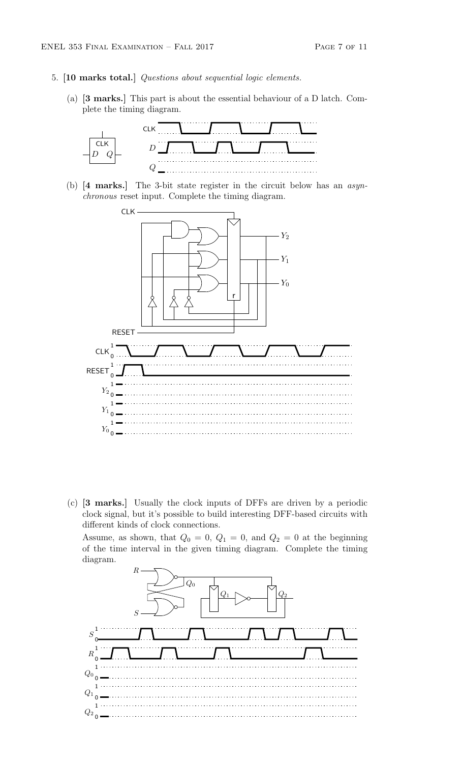- 5. [10 marks total.] Questions about sequential logic elements.
	- (a) [3 marks.] This part is about the essential behaviour of a D latch. Complete the timing diagram.



(b) [4 marks.] The 3-bit state register in the circuit below has an asynchronous reset input. Complete the timing diagram.



(c) [3 marks.] Usually the clock inputs of DFFs are driven by a periodic clock signal, but it's possible to build interesting DFF-based circuits with different kinds of clock connections.

Assume, as shown, that  $Q_0 = 0$ ,  $Q_1 = 0$ , and  $Q_2 = 0$  at the beginning of the time interval in the given timing diagram. Complete the timing diagram.

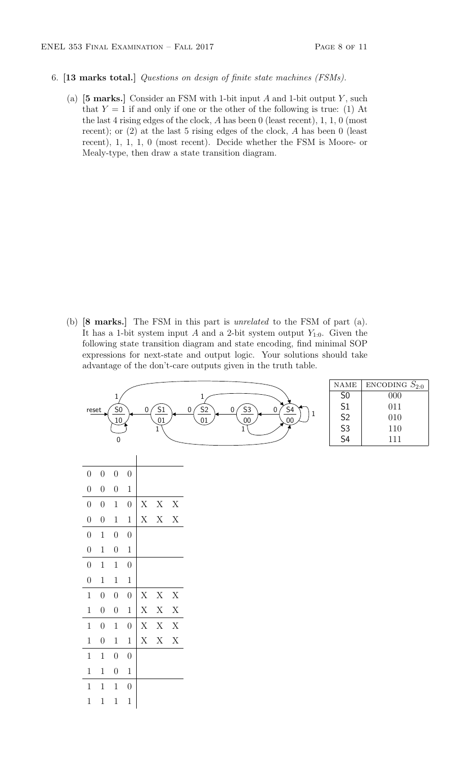1 1 1 1

- 6. [13 marks total.] Questions on design of finite state machines (FSMs).
	- (a)  $[5 \text{ marks.}]$  Consider an FSM with 1-bit input A and 1-bit output Y, such that  $Y = 1$  if and only if one or the other of the following is true: (1) At the last 4 rising edges of the clock, A has been 0 (least recent), 1, 1, 0 (most recent); or (2) at the last 5 rising edges of the clock, A has been 0 (least recent), 1, 1, 1, 0 (most recent). Decide whether the FSM is Moore- or Mealy-type, then draw a state transition diagram.

(b) [8 marks.] The FSM in this part is unrelated to the FSM of part (a). It has a 1-bit system input A and a 2-bit system output  $Y_{1:0}$ . Given the following state transition diagram and state encoding, find minimal SOP expressions for next-state and output logic. Your solutions should take advantage of the don't-care outputs given in the truth table.

|                  |                  |                   |                  |                  |              |             |                                                                                                   | $\rm NAME$      | ENCODING $S_{2:0}$ |
|------------------|------------------|-------------------|------------------|------------------|--------------|-------------|---------------------------------------------------------------------------------------------------|-----------------|--------------------|
|                  |                  | $\mathbf{1}$      |                  |                  |              |             | $\mathbf 1$                                                                                       | $\overline{50}$ | $000\,$            |
| reset            |                  | $\left[50\right]$ |                  | $\boldsymbol{0}$ | $\boxed{51}$ |             | $\frac{2}{3}$<br>S4<br>$\frac{2}{1}$<br>$\boldsymbol{0}$<br>$\pmb{0}$<br>$\pmb{0}$<br>$\mathbf 1$ | S <sub>1</sub>  | 011                |
|                  |                  | $\underline{10}$  |                  |                  | 01           |             | $\overline{01}$<br>00<br>00                                                                       | $\mathsf{S2}\,$ | $010\,$            |
|                  |                  |                   |                  |                  | 1            |             | 1                                                                                                 | S <sub>3</sub>  | $110\,$            |
|                  |                  | $\boldsymbol{0}$  |                  |                  |              |             |                                                                                                   | S4              | $111\,$            |
|                  |                  |                   |                  |                  |              |             |                                                                                                   |                 |                    |
|                  |                  |                   |                  |                  |              |             |                                                                                                   |                 |                    |
| $\theta$         | $\boldsymbol{0}$ | $\boldsymbol{0}$  | $\theta$         |                  |              |             |                                                                                                   |                 |                    |
| $\boldsymbol{0}$ | $\boldsymbol{0}$ | $\boldsymbol{0}$  | $\mathbf{1}$     |                  |              |             |                                                                                                   |                 |                    |
| $\theta$         | $\boldsymbol{0}$ | $\mathbf{1}$      | $\theta$         | X                | X            | $\mathbf X$ |                                                                                                   |                 |                    |
| $\theta$         | $\boldsymbol{0}$ | $\mathbf{1}$      | $\mathbf{1}$     | $\mathbf X$      | $\mathbf X$  | $\mathbf X$ |                                                                                                   |                 |                    |
| $\boldsymbol{0}$ | $\mathbf{1}$     | $\boldsymbol{0}$  | $\boldsymbol{0}$ |                  |              |             |                                                                                                   |                 |                    |
| $\theta$         | $\mathbf{1}$     | $\boldsymbol{0}$  | $\mathbf{1}$     |                  |              |             |                                                                                                   |                 |                    |
| $\boldsymbol{0}$ | $\mathbf{1}$     | $\,1\,$           | $\theta$         |                  |              |             |                                                                                                   |                 |                    |
| $\overline{0}$   | $\mathbf{1}$     | $\,1\,$           | $\mathbf{1}$     |                  |              |             |                                                                                                   |                 |                    |
| $\mathbf{1}$     | $\boldsymbol{0}$ | $\boldsymbol{0}$  | $\boldsymbol{0}$ | $\mathbf X$      | $\mathbf X$  | $\mathbf X$ |                                                                                                   |                 |                    |
| $\mathbf{1}$     | $\boldsymbol{0}$ | $\boldsymbol{0}$  | $\mathbf{1}$     | X                | $\mathbf X$  | $\mathbf X$ |                                                                                                   |                 |                    |
| $\mathbf{1}$     | $\boldsymbol{0}$ | $\,1\,$           | $\theta$         | $\mathbf X$      | $\mathbf X$  | $\mathbf X$ |                                                                                                   |                 |                    |
| $\mathbf{1}$     | $\boldsymbol{0}$ | $\,1\,$           | $\mathbf{1}$     | X                | $\mathbf X$  | $\mathbf X$ |                                                                                                   |                 |                    |
| $\mathbf{1}$     | $\mathbf{1}$     | $\boldsymbol{0}$  | $\theta$         |                  |              |             |                                                                                                   |                 |                    |
| $\mathbf{1}$     | $\mathbf{1}$     | $\theta$          | $\mathbf{1}$     |                  |              |             |                                                                                                   |                 |                    |
| $\mathbf{1}$     | $\,1\,$          | $\,1\,$           | $\boldsymbol{0}$ |                  |              |             |                                                                                                   |                 |                    |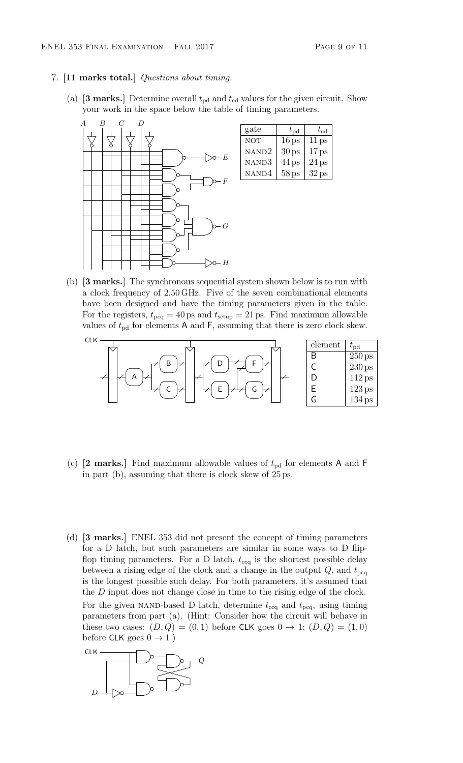#### 7. [11 marks total.] Questions about timing.

(a) [3 marks.] Determine overall  $t_{\rm pd}$  and  $t_{\rm cd}$  values for the given circuit. Show your work in the space below the table of timing parameters.



(b) [3 marks.] The synchronous sequential system shown below is to run with a clock frequency of 2.50 GHz. Five of the seven combinational elements have been designed and have the timing parameters given in the table. For the registers,  $t_{\text{pcq}} = 40 \,\text{ps}$  and  $t_{\text{setup}} = 21 \,\text{ps}$ . Find maximum allowable values of  $t_{\text{pd}}$  for elements A and F, assuming that there is zero clock skew.



- (c) [2 marks.] Find maximum allowable values of  $t_{\rm pd}$  for elements A and F in part (b), assuming that there is clock skew of 25 ps.
- (d) [3 marks.] ENEL 353 did not present the concept of timing parameters for a D latch, but such parameters are similar in some ways to D flipflop timing parameters. For a D latch,  $t_{\text{ccq}}$  is the shortest possible delay between a rising edge of the clock and a change in the output  $Q$ , and  $t_{\text{pcq}}$ is the longest possible such delay. For both parameters, it's assumed that the D input does not change close in time to the rising edge of the clock. For the given NAND-based D latch, determine  $t_{\text{ccq}}$  and  $t_{\text{pcq}}$ , using timing parameters from part (a). (Hint: Consider how the circuit will behave in these two cases:  $(D, Q) = (0, 1)$  before CLK goes  $0 \rightarrow 1$ ;  $(D, Q) = (1, 0)$ before CLK goes  $0 \rightarrow 1$ .)

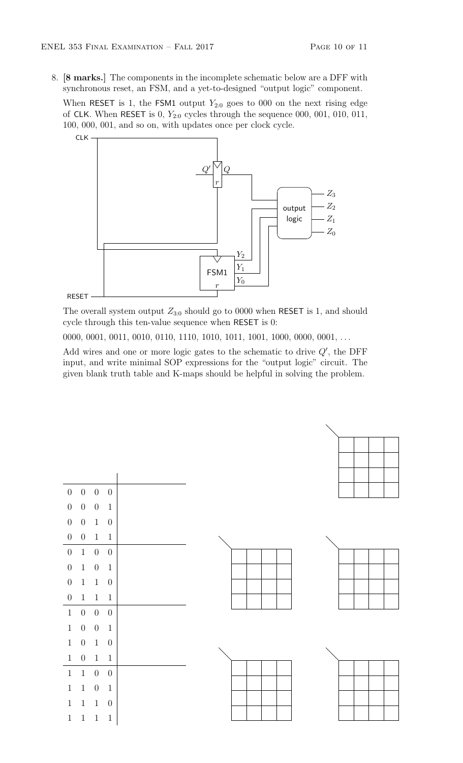8. [8 marks.] The components in the incomplete schematic below are a DFF with synchronous reset, an FSM, and a yet-to-designed "output logic" component.

When RESET is 1, the FSM1 output  $Y_{2:0}$  goes to 000 on the next rising edge of CLK. When RESET is 0,  $Y_{2:0}$  cycles through the sequence 000, 001, 010, 011, 100, 000, 001, and so on, with updates once per clock cycle.



The overall system output  $Z_{3:0}$  should go to 0000 when RESET is 1, and should cycle through this ten-value sequence when RESET is 0:

0000, 0001, 0011, 0010, 0110, 1110, 1010, 1011, 1001, 1000, 0000, 0001, ...

Add wires and one or more logic gates to the schematic to drive  $Q'$ , the DFF input, and write minimal SOP expressions for the "output logic" circuit. The given blank truth table and K-maps should be helpful in solving the problem.